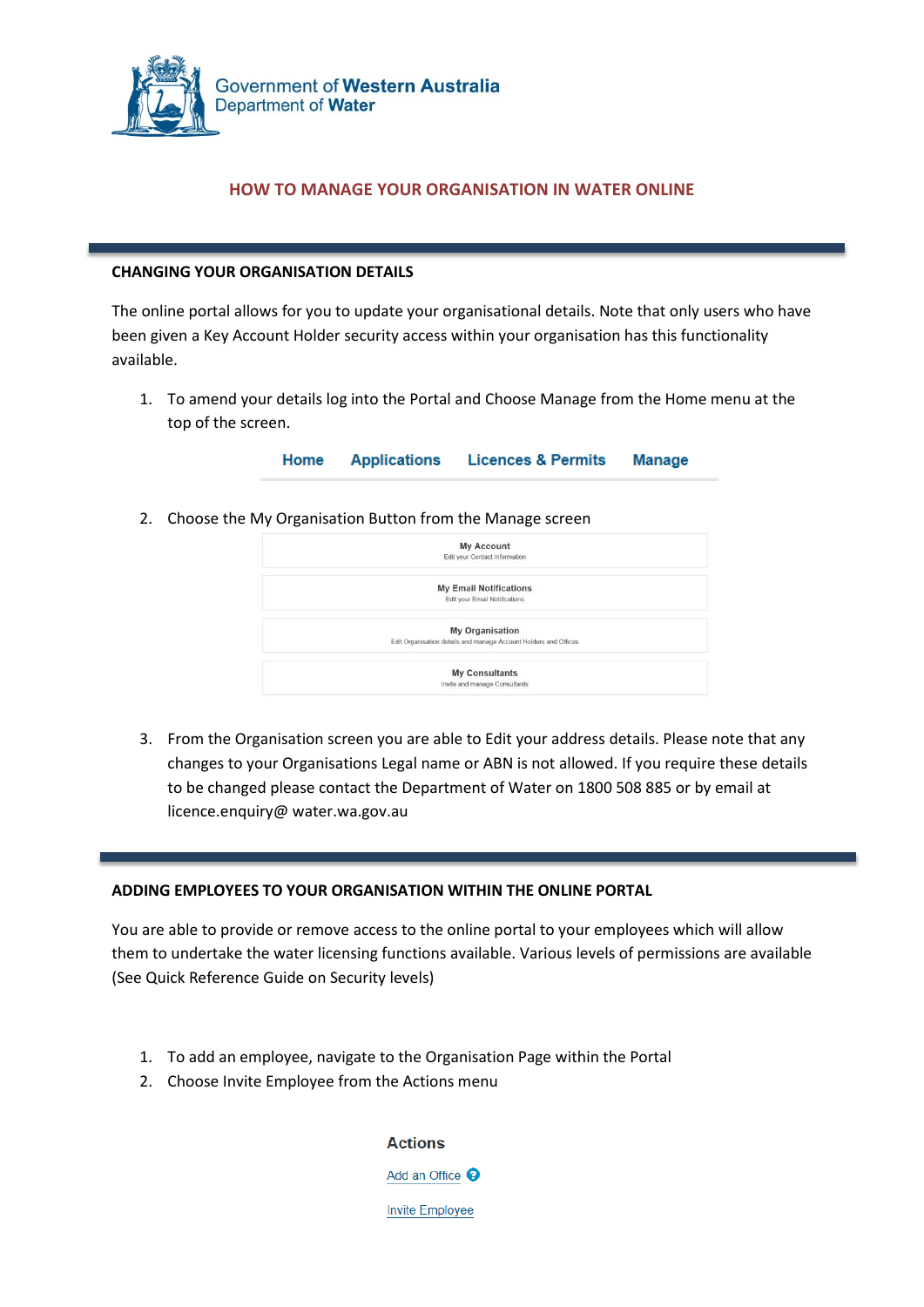

# **HOW TO MANAGE YOUR ORGANISATION IN WATER ONLINE**

### **CHANGING YOUR ORGANISATION DETAILS**

The online portal allows for you to update your organisational details. Note that only users who have been given a Key Account Holder security access within your organisation has this functionality available.

1. To amend your details log into the Portal and Choose Manage from the Home menu at the top of the screen.

> Home **Applications Licences & Permits Manage**

2. Choose the My Organisation Button from the Manage screen

| <b>My Account</b>                                                |  |
|------------------------------------------------------------------|--|
| Edit your Contact Information                                    |  |
| <b>My Email Notifications</b>                                    |  |
| Edit your Email Notifications                                    |  |
| <b>My Organisation</b>                                           |  |
| Edit Organisation details and manage Account Holders and Offices |  |
| <b>My Consultants</b>                                            |  |
| Invite and manage Consultants                                    |  |

3. From the Organisation screen you are able to Edit your address details. Please note that any changes to your Organisations Legal name or ABN is not allowed. If you require these details to be changed please contact the Department of Water on 1800 508 885 or by email at licence.enquiry@ water.wa.gov.au

#### **ADDING EMPLOYEES TO YOUR ORGANISATION WITHIN THE ONLINE PORTAL**

You are able to provide or remove access to the online portal to your employees which will allow them to undertake the water licensing functions available. Various levels of permissions are available (See Quick Reference Guide on Security levels)

- 1. To add an employee, navigate to the Organisation Page within the Portal
- 2. Choose Invite Employee from the Actions menu

**Actions** Add an Office <sup>O</sup>

Invite Employee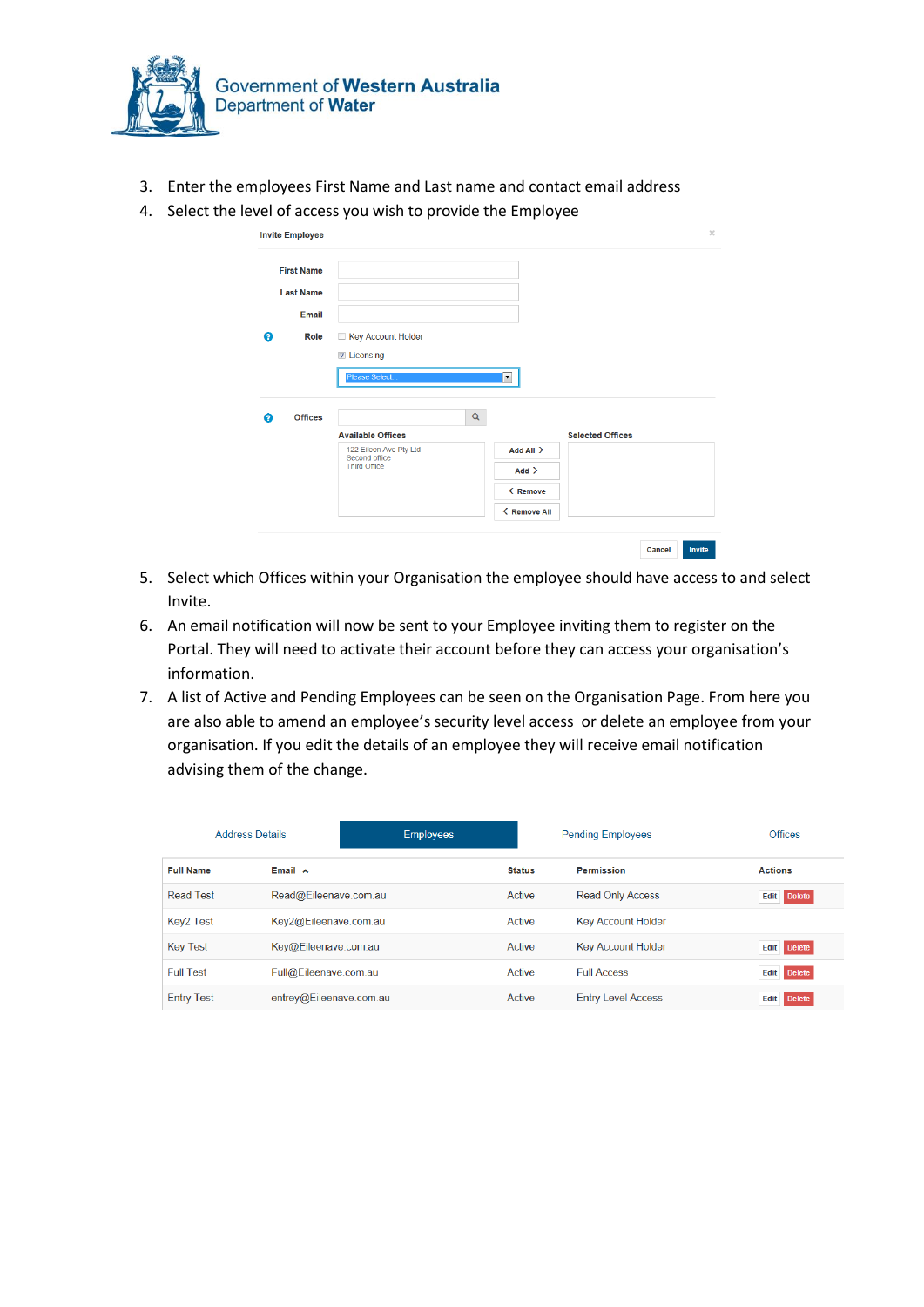

- 3. Enter the employees First Name and Last name and contact email address
- 4. Select the level of access you wish to provide the Employee

| <b>Invite Employee</b> |                |                                         |                      |                         |  |
|------------------------|----------------|-----------------------------------------|----------------------|-------------------------|--|
| <b>First Name</b>      |                |                                         |                      |                         |  |
| <b>Last Name</b>       |                |                                         |                      |                         |  |
|                        | Email          |                                         |                      |                         |  |
| ◉                      | Role           | Key Account Holder                      |                      |                         |  |
|                        |                | <b>Z</b> Licensing                      |                      |                         |  |
|                        |                | Please Select                           | $\blacktriangledown$ |                         |  |
|                        |                |                                         |                      |                         |  |
|                        |                |                                         |                      |                         |  |
|                        | <b>Offices</b> |                                         | $\alpha$             |                         |  |
|                        |                | <b>Available Offices</b>                |                      | <b>Selected Offices</b> |  |
|                        |                | 122 Eileen Ave Pty Ltd<br>Second office | Add All >            |                         |  |
|                        |                | <b>Third Office</b>                     | Add                  |                         |  |
| ⋒                      |                |                                         | < Remove             |                         |  |

- 5. Select which Offices within your Organisation the employee should have access to and select Invite.
- 6. An email notification will now be sent to your Employee inviting them to register on the Portal. They will need to activate their account before they can access your organisation's information.
- 7. A list of Active and Pending Employees can be seen on the Organisation Page. From here you are also able to amend an employee's security level access or delete an employee from your organisation. If you edit the details of an employee they will receive email notification advising them of the change.

| <b>Address Details</b> |                         | <b>Employees</b> |               | <b>Pending Employees</b>  | <b>Offices</b>        |
|------------------------|-------------------------|------------------|---------------|---------------------------|-----------------------|
| <b>Full Name</b>       | Email $\sim$            |                  | <b>Status</b> | <b>Permission</b>         | <b>Actions</b>        |
| <b>Read Test</b>       | Read@Eileenave.com.au   |                  | Active        | <b>Read Only Access</b>   | <b>Edit</b> Delete    |
| Key2 Test              | Key2@Eileenave.com.au   |                  | Active        | <b>Key Account Holder</b> |                       |
| <b>Key Test</b>        | Key@Eileenave.com.au    |                  | Active        | <b>Key Account Holder</b> | <b>Edit</b> Delete    |
| <b>Full Test</b>       | Full@Eileenave.com.au   |                  | Active        | <b>Full Access</b>        | <b>Edit</b> Delete    |
| <b>Entry Test</b>      | entrev@Eileenave.com.au |                  | Active        | <b>Entry Level Access</b> | <b>Delete</b><br>Edit |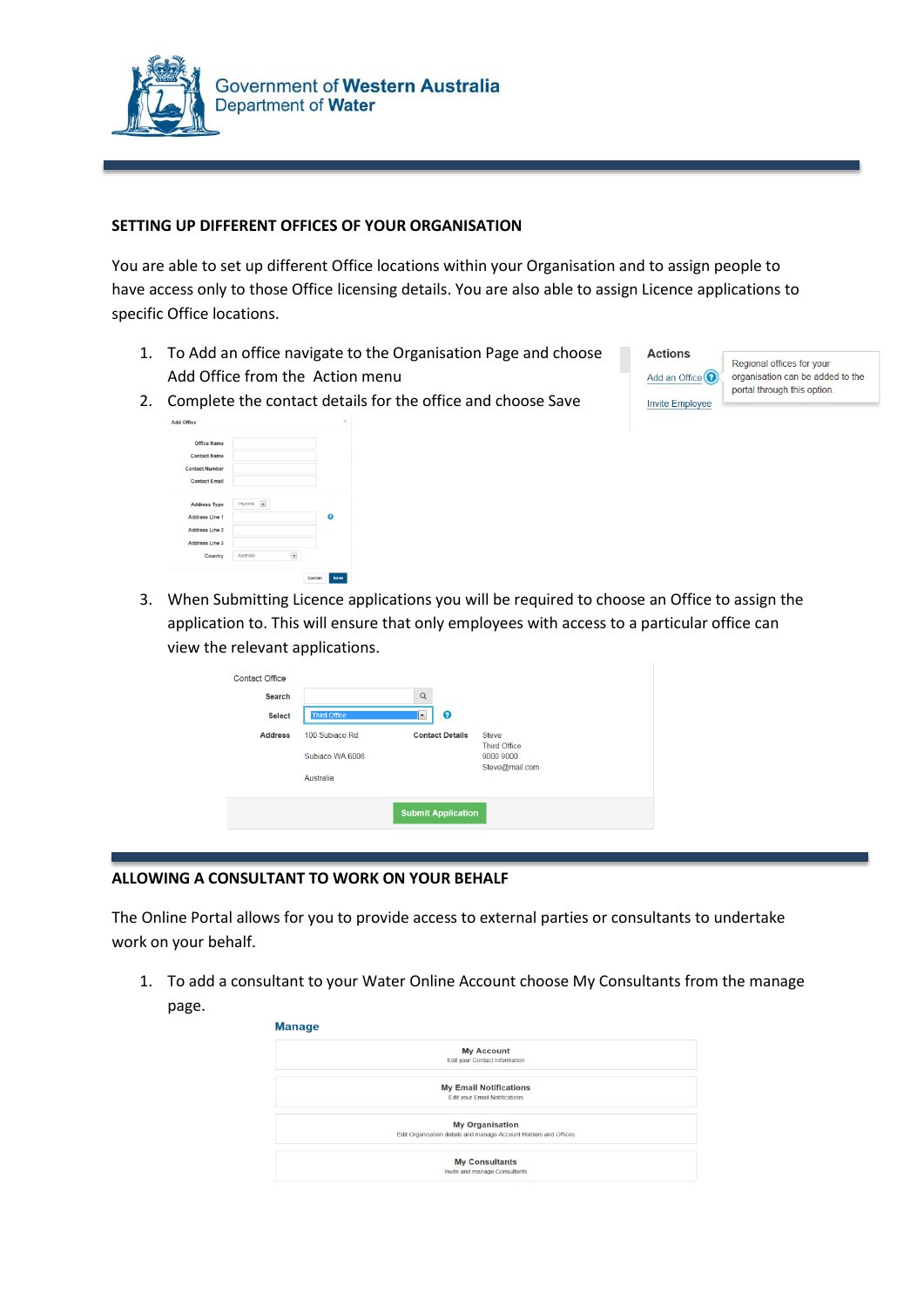

### **SETTING UP DIFFERENT OFFICES OF YOUR ORGANISATION**

You are able to set up different Office locations within your Organisation and to assign people to have access only to those Office licensing details. You are also able to assign Licence applications to specific Office locations.

- 1. To Add an office navigate to the Organisation Page and choose Add Office from the Action menu
- **Actions** Add an Office<sup>O</sup> **Invite Employee**

Regional offices for your organisation can be added to the portal through this option

2. Complete the contact details for the office and choose Save

| Office Name<br><b>Contact Name</b><br><b>Contact Number</b><br><b>Contact Email</b><br>Physical<br><b>Address Type</b><br>×<br>໑<br><b>Address Line 1</b><br><b>Address Line 2</b><br><b>Address Line 3</b><br>Australia | $\times$ |
|--------------------------------------------------------------------------------------------------------------------------------------------------------------------------------------------------------------------------|----------|
|                                                                                                                                                                                                                          |          |
|                                                                                                                                                                                                                          |          |
| ٠<br>Country                                                                                                                                                                                                             |          |

- 
- 3. When Submitting Licence applications you will be required to choose an Office to assign the application to. This will ensure that only employees with access to a particular office can view the relevant applications.

| <b>Contact Office</b><br><b>Search</b><br><b>Select</b> | <b>Third Office</b>                            | $\alpha$<br>ℯ<br>$\overline{\phantom{a}}$ |                                                                    |  |
|---------------------------------------------------------|------------------------------------------------|-------------------------------------------|--------------------------------------------------------------------|--|
| <b>Address</b>                                          | 100 Subiaco Rd<br>Subiaco WA 6008<br>Australia | <b>Contact Details</b>                    | <b>Steve</b><br><b>Third Office</b><br>9000 9000<br>Steve@mail.com |  |
|                                                         |                                                | <b>Submit Application</b>                 |                                                                    |  |

#### **ALLOWING A CONSULTANT TO WORK ON YOUR BEHALF**

The Online Portal allows for you to provide access to external parties or consultants to undertake work on your behalf.

1. To add a consultant to your Water Online Account choose My Consultants from the manage page.

| <b>My Account</b>                                                |
|------------------------------------------------------------------|
| <b>Edit your Contact Information</b>                             |
| <b>My Email Notifications</b>                                    |
| <b>Edit your Email Notifications</b>                             |
| <b>My Organisation</b>                                           |
| Edit Organisation details and manage Account Holders and Offices |
| <b>My Consultants</b>                                            |
| Invite and manage Consultants                                    |
|                                                                  |